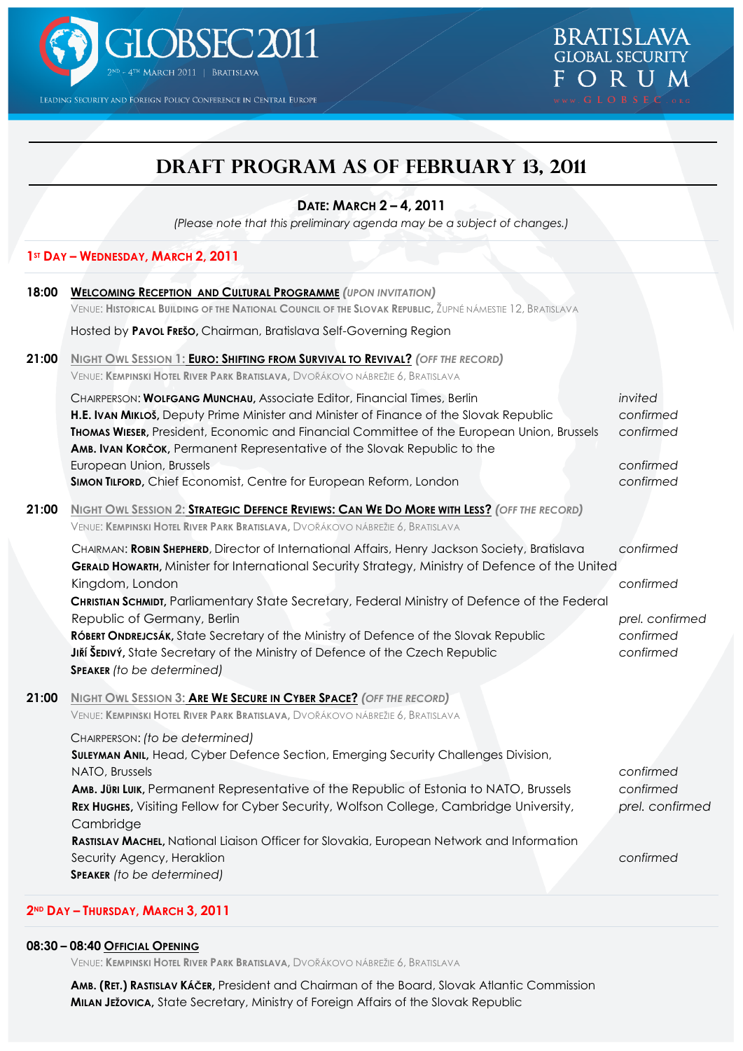

LEADING SECURITY AND FOREIGN POLICY CONFERENCE IN CENTRAL EUROPE

# **Draft PROGRAM as of February 13, 2011**

## **DATE: MARCH 2 – 4, 2011**

*(Please note that this preliminary agenda may be a subject of changes.)*

## **1ST DAY – WEDNESDAY, MARCH 2, 2011**

| VENUE: HISTORICAL BUILDING OF THE NATIONAL COUNCIL OF THE SLOVAK REPUBLIC, ŽUPNÉ NÁMESTIE 12, BRATISLAVA<br>Hosted by Pavol Frešo, Chairman, Bratislava Self-Governing Region<br><b>NIGHT OWL SESSION 1: EURO: SHIFTING FROM SURVIVAL TO REVIVAL?</b> (OFF THE RECORD)<br>VENUE: KEMPINSKI HOTEL RIVER PARK BRATISLAVA, DVOŘÁKOVO NÁBREŽIE 6, BRATISLAVA                                                                                                                                                                                                          |                                                                                |
|-------------------------------------------------------------------------------------------------------------------------------------------------------------------------------------------------------------------------------------------------------------------------------------------------------------------------------------------------------------------------------------------------------------------------------------------------------------------------------------------------------------------------------------------------------------------|--------------------------------------------------------------------------------|
|                                                                                                                                                                                                                                                                                                                                                                                                                                                                                                                                                                   |                                                                                |
|                                                                                                                                                                                                                                                                                                                                                                                                                                                                                                                                                                   |                                                                                |
| CHAIRPERSON: WOLFGANG MUNCHAU, Associate Editor, Financial Times, Berlin<br>H.E. IVAN MIKLOŠ, Deputy Prime Minister and Minister of Finance of the Slovak Republic<br>THOMAS WIESER, President, Economic and Financial Committee of the European Union, Brussels<br>AMB. IVAN KORČOK, Permanent Representative of the Slovak Republic to the<br>European Union, Brussels<br>SIMON TILFORD, Chief Economist, Centre for European Reform, London                                                                                                                    | invited<br>confirmed<br>confirmed<br>confirmed<br>confirmed                    |
| NIGHT OWL SESSION 2: STRATEGIC DEFENCE REVIEWS: CAN WE DO MORE WITH LESS? (OFF THE RECORD)                                                                                                                                                                                                                                                                                                                                                                                                                                                                        |                                                                                |
| CHAIRMAN: ROBIN SHEPHERD, Director of International Affairs, Henry Jackson Society, Bratislava<br>GERALD HOWARTH, Minister for International Security Strategy, Ministry of Defence of the United<br>Kingdom, London<br>CHRISTIAN SCHMIDT, Parliamentary State Secretary, Federal Ministry of Defence of the Federal<br>Republic of Germany, Berlin<br>RÓBERT ONDREJCSÁK, State Secretary of the Ministry of Defence of the Slovak Republic<br>JIŘÍ ŠEDIVÝ, State Secretary of the Ministry of Defence of the Czech Republic<br><b>SPEAKER</b> (to be determined) | confirmed<br>confirmed<br>prel. confirmed<br>confirmed<br>confirmed            |
| <b>NIGHT OWL SESSION 3: ARE WE SECURE IN CYBER SPACE?</b> (OFF THE RECORD)<br>VENUE: KEMPINSKI HOTEL RIVER PARK BRATISLAVA, DVOŘÁKOVO NÁBREŽIE 6, BRATISLAVA                                                                                                                                                                                                                                                                                                                                                                                                      |                                                                                |
| CHAIRPERSON: (to be determined)<br>SULEYMAN ANIL, Head, Cyber Defence Section, Emerging Security Challenges Division,<br>NATO, Brussels<br>AMB. JÜRI LUIK, Permanent Representative of the Republic of Estonia to NATO, Brussels<br>REX Hughes, Visiting Fellow for Cyber Security, Wolfson College, Cambridge University,<br>Cambridge<br>RASTISLAV MACHEL, National Liaison Officer for Slovakia, European Network and Information<br>Security Agency, Heraklion<br><b>SPEAKER</b> (to be determined)                                                           | confirmed<br>confirmed<br>prel. confirmed<br>confirmed                         |
|                                                                                                                                                                                                                                                                                                                                                                                                                                                                                                                                                                   | VENUE: KEMPINSKI HOTEL RIVER PARK BRATISLAVA, DVOŘÁKOVO NÁBREŽIE 6, BRATISLAVA |

### **2ND DAY – THURSDAY, MARCH 3, 2011**

#### **08:30 – 08:40 OFFICIAL OPENING**

VENUE: **KEMPINSKI HOTEL RIVER PARK BRATISLAVA,** DVOŘÁKOVO NÁBREŽIE 6, BRATISLAVA

**AMB. (RET.) RASTISLAV KÁČER,** President and Chairman of the Board, Slovak Atlantic Commission **MILAN JEŽOVICA,** State Secretary, Ministry of Foreign Affairs of the Slovak Republic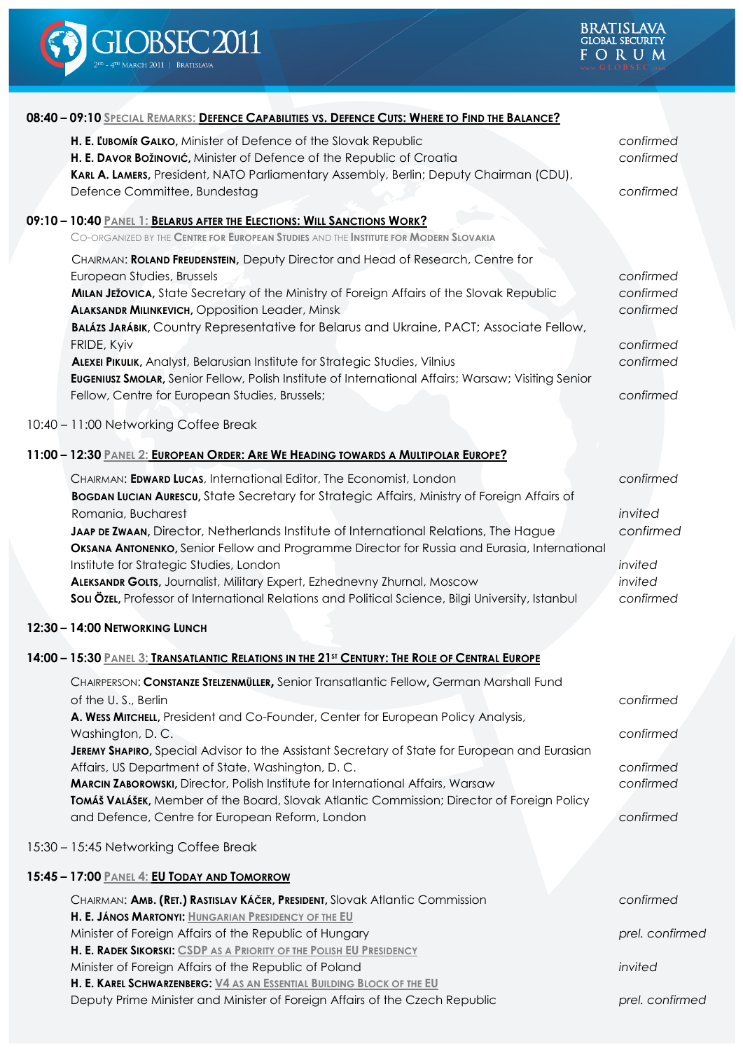

| 08:40 - 09:10 SPECIAL REMARKS: DEFENCE CAPABILITIES VS. DEFENCE CUTS: WHERE TO FIND THE BALANCE?                                                                                                                                                                                                                                                                                                                                                                                                                                                                                                                                                      |                                                                            |
|-------------------------------------------------------------------------------------------------------------------------------------------------------------------------------------------------------------------------------------------------------------------------------------------------------------------------------------------------------------------------------------------------------------------------------------------------------------------------------------------------------------------------------------------------------------------------------------------------------------------------------------------------------|----------------------------------------------------------------------------|
| H. E. LUBOMÍR GALKO, Minister of Defence of the Slovak Republic<br>H. E. DAVOR BOŽINOVIĆ, Minister of Defence of the Republic of Croatia<br>KARL A. LAMERS, President, NATO Parliamentary Assembly, Berlin; Deputy Chairman (CDU),<br>Defence Committee, Bundestag                                                                                                                                                                                                                                                                                                                                                                                    | confirmed<br>confirmed<br>confirmed                                        |
| 09:10 - 10:40 PANEL 1: BELARUS AFTER THE ELECTIONS: WILL SANCTIONS WORK?<br>CO-ORGANIZED BY THE CENTRE FOR EUROPEAN STUDIES AND THE INSTITUTE FOR MODERN SLOVAKIA                                                                                                                                                                                                                                                                                                                                                                                                                                                                                     |                                                                            |
| CHAIRMAN: ROLAND FREUDENSTEIN, Deputy Director and Head of Research, Centre for<br>European Studies, Brussels<br>MILAN JEŽOVICA, State Secretary of the Ministry of Foreign Affairs of the Slovak Republic<br><b>ALAKSANDR MILINKEVICH, Opposition Leader, Minsk</b><br>BALÁZS JARÁBIK, Country Representative for Belarus and Ukraine, PACT; Associate Fellow,<br>FRIDE, Kyiv<br>ALEXEI PIKULIK, Analyst, Belarusian Institute for Strategic Studies, Vilnius<br>EUGENIUSZ SMOLAR, Senior Fellow, Polish Institute of International Affairs; Warsaw; Visiting Senior<br>Fellow, Centre for European Studies, Brussels;                               | confirmed<br>confirmed<br>confirmed<br>confirmed<br>confirmed<br>confirmed |
| 10:40 - 11:00 Networking Coffee Break                                                                                                                                                                                                                                                                                                                                                                                                                                                                                                                                                                                                                 |                                                                            |
| 11:00 - 12:30 PANEL 2: EUROPEAN ORDER: ARE WE HEADING TOWARDS A MULTIPOLAR EUROPE?                                                                                                                                                                                                                                                                                                                                                                                                                                                                                                                                                                    |                                                                            |
| CHAIRMAN: EDWARD LUCAS, International Editor, The Economist, London<br><b>BOGDAN LUCIAN AURESCU, State Secretary for Strategic Affairs, Ministry of Foreign Affairs of</b><br>Romania, Bucharest<br>JAAP DE ZWAAN, Director, Netherlands Institute of International Relations, The Hague<br>OKSANA ANTONENKO, Senior Fellow and Programme Director for Russia and Eurasia, International<br>Institute for Strategic Studies, London<br>ALEKSANDR GOLTS, Journalist, Military Expert, Ezhednevny Zhurnal, Moscow<br>Sou ÖzEL, Professor of International Relations and Political Science, Bilgi University, Istanbul<br>12:30 - 14:00 NETWORKING LUNCH | confirmed<br>invited<br>confirmed<br>invited<br>invited<br>confirmed       |
| 14:00 - 15:30 PANEL 3: TRANSATLANTIC RELATIONS IN THE 21 <sup>5T</sup> CENTURY: THE ROLE OF CENTRAL EUROPE                                                                                                                                                                                                                                                                                                                                                                                                                                                                                                                                            |                                                                            |
| CHAIRPERSON: CONSTANZE STELZENMÜLLER, Senior Transatlantic Fellow, German Marshall Fund<br>of the U.S., Berlin<br>A. WESS MITCHELL, President and Co-Founder, Center for European Policy Analysis,<br>Washington, D.C.<br>JEREMY SHAPIRO, Special Advisor to the Assistant Secretary of State for European and Eurasian<br>Affairs, US Department of State, Washington, D.C.<br>MARCIN ZABOROWSKI, Director, Polish Institute for International Affairs, Warsaw<br>TOMÁŠ VALÁŠEK, Member of the Board, Slovak Atlantic Commission; Director of Foreign Policy<br>and Defence, Centre for European Reform, London                                      | confirmed<br>confirmed<br>confirmed<br>confirmed<br>confirmed              |
| 15:30 - 15:45 Networking Coffee Break                                                                                                                                                                                                                                                                                                                                                                                                                                                                                                                                                                                                                 |                                                                            |
| 15:45 - 17:00 PANEL 4: EU TODAY AND TOMORROW                                                                                                                                                                                                                                                                                                                                                                                                                                                                                                                                                                                                          |                                                                            |
| CHAIRMAN: AMB. (RET.) RASTISLAV KÁČER, PRESIDENT, Slovak Atlantic Commission                                                                                                                                                                                                                                                                                                                                                                                                                                                                                                                                                                          | confirmed                                                                  |
| H. E. JÁNOS MARTONYI: HUNGARIAN PRESIDENCY OF THE EU<br>Minister of Foreign Affairs of the Republic of Hungary                                                                                                                                                                                                                                                                                                                                                                                                                                                                                                                                        | prel. confirmed                                                            |
| H. E. RADEK SIKORSKI: CSDP AS A PRIORITY OF THE POLISH EU PRESIDENCY<br>Minister of Foreign Affairs of the Republic of Poland                                                                                                                                                                                                                                                                                                                                                                                                                                                                                                                         | invited                                                                    |
| H. E. KAREL SCHWARZENBERG: V4 AS AN ESSENTIAL BUILDING BLOCK OF THE EU<br>Deputy Prime Minister and Minister of Foreign Affairs of the Czech Republic                                                                                                                                                                                                                                                                                                                                                                                                                                                                                                 | prel. confirmed                                                            |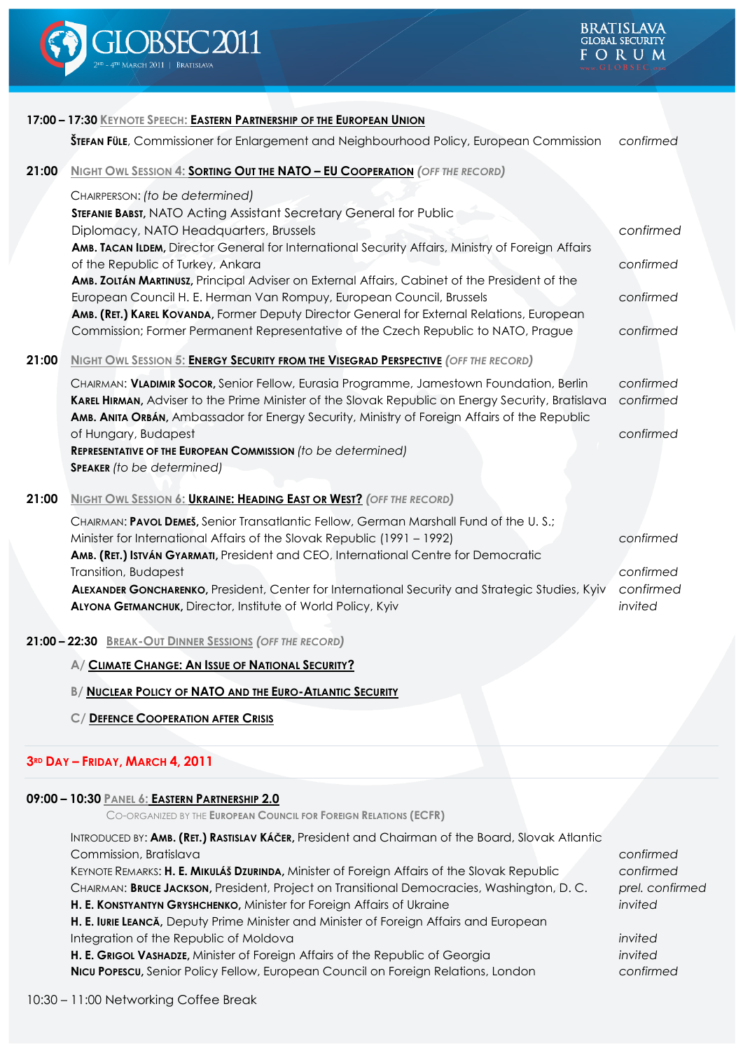

|                                                          | 17:00 - 17:30 KEYNOTE SPEECH: EASTERN PARTNERSHIP OF THE EUROPEAN UNION                                                                                            |                      |  |  |  |
|----------------------------------------------------------|--------------------------------------------------------------------------------------------------------------------------------------------------------------------|----------------------|--|--|--|
|                                                          | <b>ŠTEFAN FÜLE</b> , Commissioner for Enlargement and Neighbourhood Policy, European Commission                                                                    | confirmed            |  |  |  |
| 21:00                                                    | <b>NIGHT OWL SESSION 4: SORTING OUT THE NATO - EU COOPERATION (OFF THE RECORD)</b>                                                                                 |                      |  |  |  |
|                                                          | CHAIRPERSON: (to be determined)                                                                                                                                    |                      |  |  |  |
|                                                          | STEFANIE BABST, NATO Acting Assistant Secretary General for Public                                                                                                 |                      |  |  |  |
|                                                          | Diplomacy, NATO Headquarters, Brussels                                                                                                                             | confirmed            |  |  |  |
|                                                          | AMB. TACAN ILDEM, Director General for International Security Affairs, Ministry of Foreign Affairs                                                                 |                      |  |  |  |
|                                                          | of the Republic of Turkey, Ankara                                                                                                                                  | confirmed            |  |  |  |
|                                                          | AMB. ZOLTÁN MARTINUSZ, Principal Adviser on External Affairs, Cabinet of the President of the                                                                      |                      |  |  |  |
|                                                          | European Council H. E. Herman Van Rompuy, European Council, Brussels<br>AMB. (RET.) KAREL KOVANDA, Former Deputy Director General for External Relations, European | confirmed            |  |  |  |
|                                                          | Commission; Former Permanent Representative of the Czech Republic to NATO, Prague                                                                                  | confirmed            |  |  |  |
|                                                          |                                                                                                                                                                    |                      |  |  |  |
| 21:00                                                    | <b>NIGHT OWL SESSION 5: ENERGY SECURITY FROM THE VISEGRAD PERSPECTIVE (OFF THE RECORD)</b>                                                                         |                      |  |  |  |
|                                                          | CHAIRMAN: VLADIMIR SOCOR, Senior Fellow, Eurasia Programme, Jamestown Foundation, Berlin                                                                           | confirmed            |  |  |  |
|                                                          | KAREL HIRMAN, Adviser to the Prime Minister of the Slovak Republic on Energy Security, Bratislava                                                                  | confirmed            |  |  |  |
|                                                          | AMB. ANITA ORBÁN, Ambassador for Energy Security, Ministry of Foreign Affairs of the Republic                                                                      |                      |  |  |  |
|                                                          | of Hungary, Budapest                                                                                                                                               | confirmed            |  |  |  |
|                                                          | REPRESENTATIVE OF THE EUROPEAN COMMISSION (to be determined)                                                                                                       |                      |  |  |  |
|                                                          | <b>SPEAKER</b> (to be determined)                                                                                                                                  |                      |  |  |  |
| 21:00                                                    | <b>NIGHT OWL SESSION 6: UKRAINE: HEADING EAST OR WEST?</b> (OFF THE RECORD)                                                                                        |                      |  |  |  |
|                                                          | CHAIRMAN: PAVOL DEMEŠ, Senior Transatlantic Fellow, German Marshall Fund of the U.S.;                                                                              |                      |  |  |  |
|                                                          | Minister for International Affairs of the Slovak Republic (1991 - 1992)                                                                                            | confirmed            |  |  |  |
|                                                          | AMB. (RET.) ISTVÁN GYARMATI, President and CEO, International Centre for Democratic                                                                                |                      |  |  |  |
|                                                          | Transition, Budapest                                                                                                                                               | confirmed            |  |  |  |
|                                                          | ALEXANDER GONCHARENKO, President, Center for International Security and Strategic Studies, Kyiv<br>ALYONA GETMANCHUK, Director, Institute of World Policy, Kyiv    | confirmed<br>invited |  |  |  |
|                                                          |                                                                                                                                                                    |                      |  |  |  |
| 21:00 - 22:30 BREAK-OUT DINNER SESSIONS (OFF THE RECORD) |                                                                                                                                                                    |                      |  |  |  |
|                                                          | A/ CLIMATE CHANGE: AN ISSUE OF NATIONAL SECURITY?                                                                                                                  |                      |  |  |  |
|                                                          | <b>B/ NUCLEAR POLICY OF NATO AND THE EURO-ATLANTIC SECURITY</b>                                                                                                    |                      |  |  |  |
|                                                          | C/ DEFENCE COOPERATION AFTER CRISIS                                                                                                                                |                      |  |  |  |

# **3RD DAY – FRIDAY, MARCH 4, 2011**

# **09:00 – 10:30 PANEL 6: EASTERN PARTNERSHIP 2.0**

CO-ORGANIZED BY THE **EUROPEAN COUNCIL FOR FOREIGN RELATIONS (ECFR)**

INTRODUCED BY: **AMB. (RET.) RASTISLAV KÁČER,** President and Chairman of the Board, Slovak Atlantic Commission, Bratislava *confirmed*

KEYNOTE REMARKS: **H. E. MIKULÁŠ DZURINDA,** Minister of Foreign Affairs of the Slovak Republic *confirmed* CHAIRMAN: **BRUCE JACKSON,** President, Project on Transitional Democracies, Washington, D. C. *prel. confirmed* **H. E. KONSTYANTYN GRYSHCHENKO,** Minister for Foreign Affairs of Ukraine *invited* **H. E. IURIE LEANCĂ,** Deputy Prime Minister and Minister of Foreign Affairs and European

Integration of the Republic of Moldova *invited*

**H. E. GRIGOL VASHADZE,** Minister of Foreign Affairs of the Republic of Georgia *invited* **NICU POPESCU,** Senior Policy Fellow, European Council on Foreign Relations, London *confirmed*